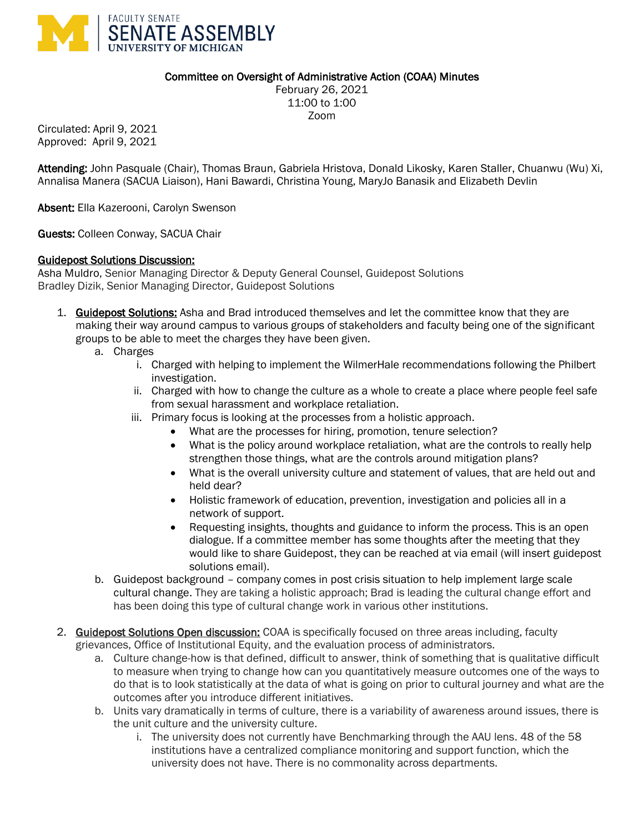

### Committee on Oversight of Administrative Action (COAA) Minutes

February 26, 2021 11:00 to 1:00 Zoom

Circulated: April 9, 2021 Approved: April 9, 2021

Attending: John Pasquale (Chair), Thomas Braun, Gabriela Hristova, Donald Likosky, Karen Staller, Chuanwu (Wu) Xi, Annalisa Manera (SACUA Liaison), Hani Bawardi, Christina Young, MaryJo Banasik and Elizabeth Devlin

Absent: Ella Kazerooni, Carolyn Swenson

Guests: Colleen Conway, SACUA Chair

### Guidepost Solutions Discussion:

Asha Muldro, Senior Managing Director & Deputy General Counsel, Guidepost Solutions Bradley Dizik, Senior Managing Director, Guidepost Solutions

- 1. Guidepost Solutions: Asha and Brad introduced themselves and let the committee know that they are making their way around campus to various groups of stakeholders and faculty being one of the significant groups to be able to meet the charges they have been given.
	- a. Charges
		- i. Charged with helping to implement the WilmerHale recommendations following the Philbert investigation.
		- ii. Charged with how to change the culture as a whole to create a place where people feel safe from sexual harassment and workplace retaliation.
		- iii. Primary focus is looking at the processes from a holistic approach.
			- What are the processes for hiring, promotion, tenure selection?
			- What is the policy around workplace retaliation, what are the controls to really help strengthen those things, what are the controls around mitigation plans?
			- What is the overall university culture and statement of values, that are held out and held dear?
			- Holistic framework of education, prevention, investigation and policies all in a network of support.
			- Requesting insights, thoughts and guidance to inform the process. This is an open dialogue. If a committee member has some thoughts after the meeting that they would like to share Guidepost, they can be reached at via email (will insert guidepost solutions email).
	- b. Guidepost background company comes in post crisis situation to help implement large scale cultural change. They are taking a holistic approach; Brad is leading the cultural change effort and has been doing this type of cultural change work in various other institutions.
- 2. Guidepost Solutions Open discussion: COAA is specifically focused on three areas including, faculty grievances, Office of Institutional Equity, and the evaluation process of administrators.
	- a. Culture change-how is that defined, difficult to answer, think of something that is qualitative difficult to measure when trying to change how can you quantitatively measure outcomes one of the ways to do that is to look statistically at the data of what is going on prior to cultural journey and what are the outcomes after you introduce different initiatives.
	- b. Units vary dramatically in terms of culture, there is a variability of awareness around issues, there is the unit culture and the university culture.
		- i. The university does not currently have Benchmarking through the AAU lens. 48 of the 58 institutions have a centralized compliance monitoring and support function, which the university does not have. There is no commonality across departments.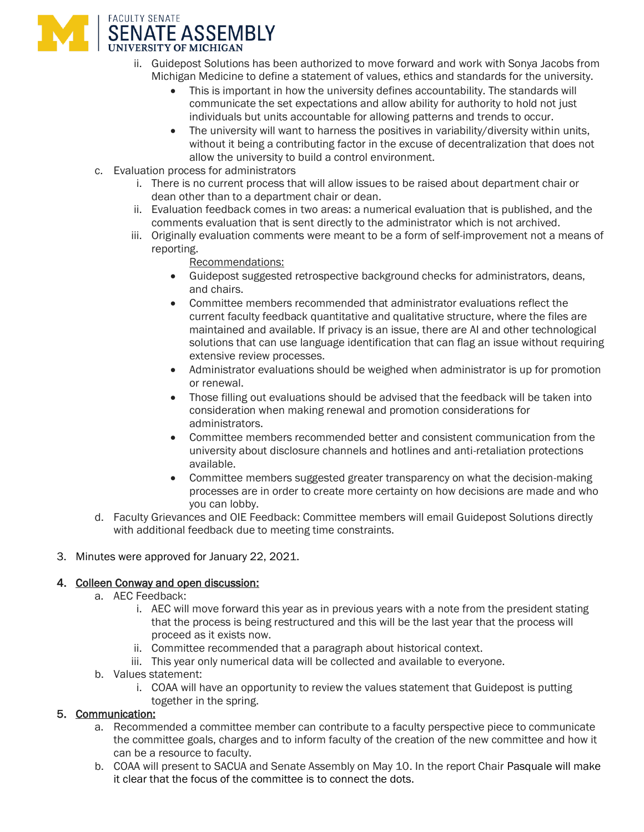

- ii. Guidepost Solutions has been authorized to move forward and work with Sonya Jacobs from Michigan Medicine to define a statement of values, ethics and standards for the university.
	- This is important in how the university defines accountability. The standards will communicate the set expectations and allow ability for authority to hold not just individuals but units accountable for allowing patterns and trends to occur.
	- The university will want to harness the positives in variability/diversity within units, without it being a contributing factor in the excuse of decentralization that does not allow the university to build a control environment.
- c. Evaluation process for administrators
	- i. There is no current process that will allow issues to be raised about department chair or dean other than to a department chair or dean.
	- ii. Evaluation feedback comes in two areas: a numerical evaluation that is published, and the comments evaluation that is sent directly to the administrator which is not archived.
	- iii. Originally evaluation comments were meant to be a form of self-improvement not a means of reporting.

Recommendations:

- Guidepost suggested retrospective background checks for administrators, deans, and chairs.
- Committee members recommended that administrator evaluations reflect the current faculty feedback quantitative and qualitative structure, where the files are maintained and available. If privacy is an issue, there are AI and other technological solutions that can use language identification that can flag an issue without requiring extensive review processes.
- Administrator evaluations should be weighed when administrator is up for promotion or renewal.
- Those filling out evaluations should be advised that the feedback will be taken into consideration when making renewal and promotion considerations for administrators.
- Committee members recommended better and consistent communication from the university about disclosure channels and hotlines and anti-retaliation protections available.
- Committee members suggested greater transparency on what the decision-making processes are in order to create more certainty on how decisions are made and who you can lobby.
- d. Faculty Grievances and OIE Feedback: Committee members will email Guidepost Solutions directly with additional feedback due to meeting time constraints.
- 3. Minutes were approved for January 22, 2021.

## 4. Colleen Conway and open discussion:

- a. AEC Feedback:
	- i. AEC will move forward this year as in previous years with a note from the president stating that the process is being restructured and this will be the last year that the process will proceed as it exists now.
	- ii. Committee recommended that a paragraph about historical context.
	- iii. This year only numerical data will be collected and available to everyone.
- b. Values statement:
	- i. COAA will have an opportunity to review the values statement that Guidepost is putting together in the spring.

# 5. Communication:

- a. Recommended a committee member can contribute to a faculty perspective piece to communicate the committee goals, charges and to inform faculty of the creation of the new committee and how it can be a resource to faculty.
- b. COAA will present to SACUA and Senate Assembly on May 10. In the report Chair Pasquale will make it clear that the focus of the committee is to connect the dots.